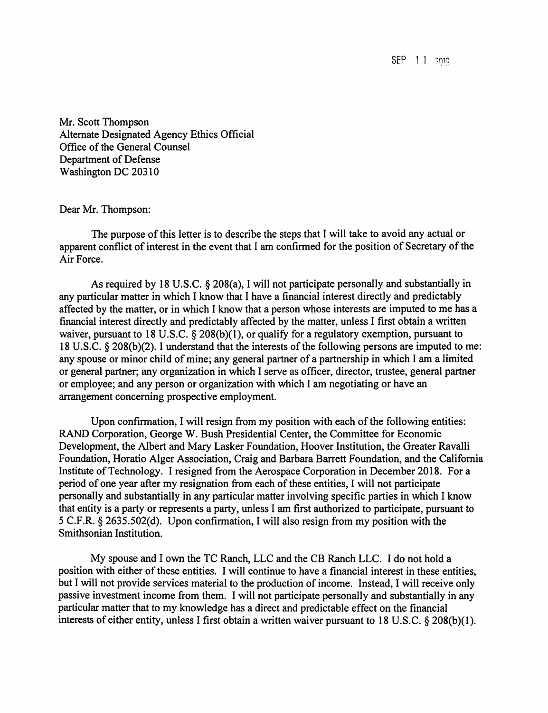SEP 11 2019

Mr. Scott Thompson Alternate Designated Agency Ethics Official Office of the General Counsel Department of Defense Washington DC 20310

Dear Mr. Thompson:

The purpose of this letter is to describe the steps that I will take to avoid any actual or apparent conflict of interest in the event that I am confirmed for the position of Secretary of the Air Force.

As required by 18 U.S.C. § 208(a), I will not participate personally and substantially in any particular matter in which I know that I have a financial interest directly and predictably affected by the matter, or in which I know that a person whose interests are imputed to me has a financial interest directly and predictably affected by the matter, unless I first obtain a written waiver, pursuant to 18 U.S.C. § 208(b)(1), or qualify for a regulatory exemption, pursuant to 18 U.S.C. § 208(b)(2). I understand that the interests of the following persons are imputed to me: any spouse or minor child of mine; any general partner of a partnership in which I am a limited or general partner; any organization in which I serve as officer, director, trustee, general partner or employee; and any person or organization with which I am negotiating or have an arrangement concerning prospective employment.

Upon confirmation, I will resign from my position with each of the following entities: RAND Corporation, George W. Bush Presidential Center, the Committee for Economic Development, the Albert and Mary Lasker Foundation, Hoover Institution, the Greater Ravalli Foundation, Horatio Alger Association, Craig and Barbara Barrett Foundation, and the California Institute of Technology. I resigned from the Aerospace Corporation in December 2018. For a period of one year after my resignation from each of these entities, I will not participate personally and substantially in any particular matter involving specific parties in which I know that entity is a party or represents a party, unless I am first authorized to participate, pursuant to 5 C.F.R. § 2635.502(d). Upon confirmation, I will also resign from my position with the Smithsonian Institution.

My spouse and I own the TC Ranch, LLC and the CB Ranch LLC. I do not hold a position with either of these entities. I will continue to have a financial interest in these entities, but I will not provide services material to the production of income. Instead, I will receive only passive investment income from them. I will not participate personally and substantially in any particular matter that to my knowledge has a direct and predictable effect on the financial interests of either entity, unless I first obtain a written waiver pursuant to 18 U.S.C. § 208(b)(l).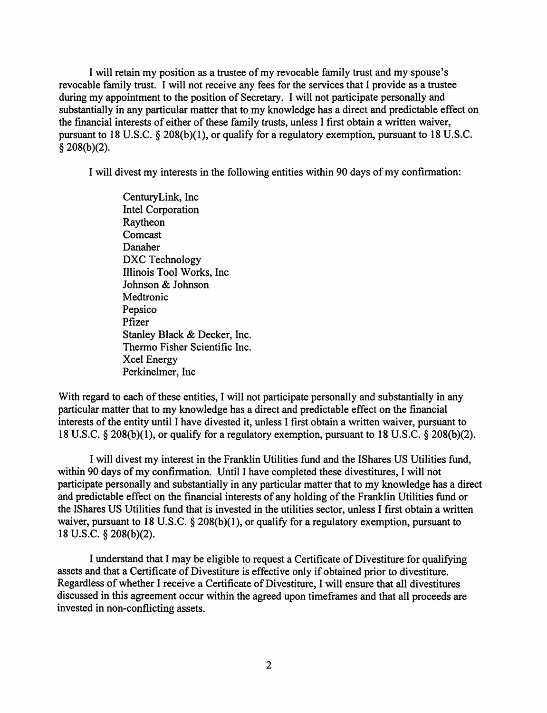I will retain my position as a trustee of my revocable family trust and my spouse's revocable family trust. I will not receive any fees for the services that I provide as a trustee during my appointment to the position of Secretary. I will not participate personally and substantially in any particular matter that to my knowledge has a direct and predictable effect on the financial interests of either of these family trusts, unless I first obtain a written waiver, pursuant to 18 U.S.C. § 208(b)(l), or qualify for a regulatory exemption, pursuant to 18 U.S.C.  $§$  208(b)(2).

I will divest my interests in the following entities within 90 days of my confirmation:

CenturyLink, Inc Intel Corporation Raytheon **Comcast** Danaher DXC Technology Illinois Tool Works, Inc Johnson & Johnson **Medtronic** Pepsico Pfizer Stanley Black & Decker, Inc. Thermo Fisher Scientific Inc. Xcel Energy Perkinelmer, Inc

With regard to each of these entities, I will not participate personally and substantially in any particular matter that to my knowledge has a direct and predictable effect on the financial interests of the entity until I have divested it, unless I first obtain a written waiver, pursuant to 18 U.S.C. § 208(b)(l), or qualify for a regulatory exemption, pursuant to 18 U.S.C. § 208(b)(2).

I will divest my interest in the Franklin Utilities fund and the !Shares US Utilities fund, within 90 days of my confirmation. Until I have completed these divestitures, I will not participate personally and substantially in any particular matter that to my knowledge has a direct and predictable effect on the financial interests of any holding of the Franklin Utilities fund or the !Shares US Utilities fund that is invested in the utilities sector, unless I first obtain a written waiver, pursuant to 18 U.S.C. § 208(b)(1), or qualify for a regulatory exemption, pursuant to 18 U.S.C. § 208(b)(2).

I understand that I may be eligible to request a Certificate of Divestiture for qualifying assets and that a Certificate of Divestiture is effective only if obtained prior to divestiture. Regardless of whether I receive a Certificate of Divestiture, I will ensure that all divestitures discussed in this agreement occur within the agreed upon timeframes and that all proceeds are invested in non-conflicting assets.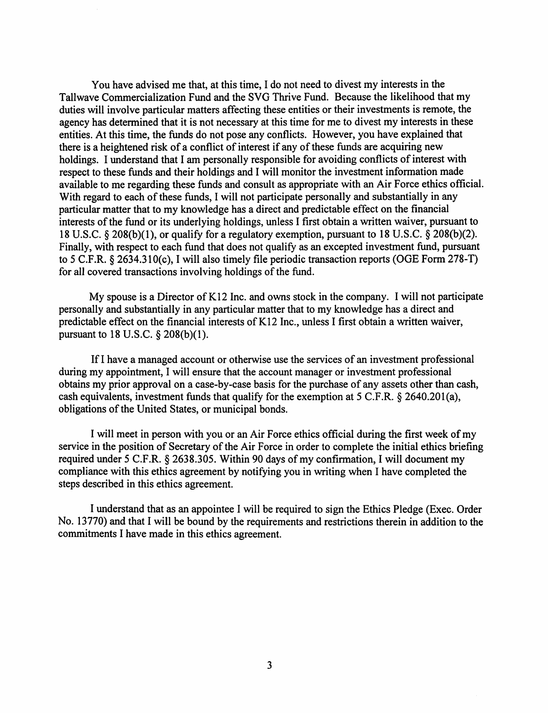You have advised me that, at this time, I do not need to divest my interests in the Tallwave Commercialization Fund and the SVG Thrive Fund. Because the likelihood that my duties will involve particular matters affecting these entities or their investments is remote, the agency has determined that it is not necessary at this time for me to divest my interests in these entities. At this time, the funds do not pose any conflicts. However, you have explained that there is a heightened risk of a conflict of interest if any of these funds are acquiring new holdings. I understand that I am personally responsible for avoiding conflicts of interest with respect to these funds and their holdings and I will monitor the investment information made available to me regarding these funds and consult as appropriate with an Air Force ethics official. With regard to each of these funds, I will not participate personally and substantially in any particular matter that to my knowledge has a direct and predictable effect on the financial interests of the fund or its underlying holdings, unless I first obtain a written waiver, pursuant to 18 U.S.C. § 208(b)(l), or qualify for a regulatory exemption, pursuant to 18 U.S.C. § 208(b)(2). Finally, with respect to each fund that does not qualify as an excepted investment fund, pursuant to 5 C.F.R. § 2634.310(c), I will also timely file periodic transaction reports (OGE Form 278-T) for all covered transactions involving holdings of the fund.

My spouse is a Director of K12 Inc. and owns stock in the company. I will not participate personally and substantially in any particular matter that to my knowledge has a direct and predictable effect on the financial interests of K12 Inc., unless I first obtain a written waiver, pursuant to 18 U.S.C. § 208(b)(l).

If I have a managed account or otherwise use the services of an investment professional during my appointment, I will ensure that the account manager or investment professional obtains my prior approval on a case-by-case basis for the purchase of any assets other than cash, cash equivalents, investment funds that qualify for the exemption at 5 C.F.R. § 2640.201(a), obligations of the United States, or municipal bonds.

I will meet in person with you or an Air Force ethics official during the first week of my service in the position of Secretary of the Air Force in order to complete the initial ethics briefing required under 5 C.F.R. § 2638.305. Within 90 days of my confirmation, I will document my compliance with this ethics agreement by notifying you in writing when I have completed the steps described in this ethics agreement.

I understand that as an appointee I will be required to sign the Ethics Pledge (Exec. Order No. 13770) and that I will be bound by the requirements and restrictions therein in addition to the commitments I have made in this ethics agreement.